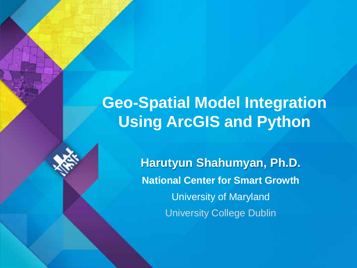# **Geo-Spatial Model Integration Using ArcGIS and Python**

**Harutyun Shahumyan, Ph.D. National Center for Smart Growth** University of Maryland University College Dublin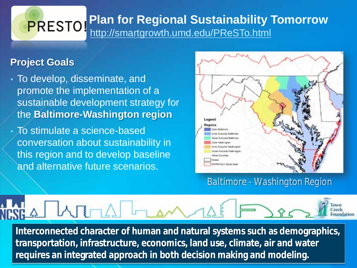#### **Plan for Regional Sustainability Tomorrow** PRESTO! <http://smartgrowth.umd.edu/PReSTo.html>

#### **Project Goals**

- To develop, disseminate, and promote the implementation of a sustainable development strategy for the **Baltimore-Washington region**
- To stimulate a science-based conversation about sustainability in this region and to develop baseline and alternative future scenarios.



*Baltimore - Washington Region*

**Interconnected character of human and natural systems such as demographics, transportation, infrastructure, economics, land use, climate, air and water requires an integrated approach in both decision making and modeling.**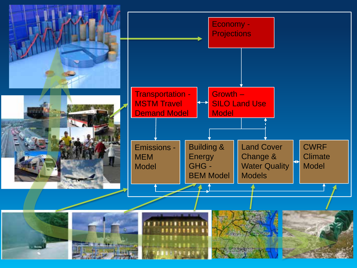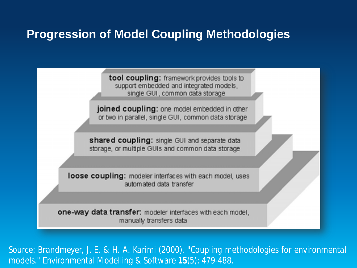#### **Progression of Model Coupling Methodologies**

tool coupling: framework provides tools to support embedded and integrated models, single GUI, common data storage

joined coupling: one model embedded in other or two in parallel, single GUI, common data storage

shared coupling: single GUI and separate data storage, or multiple GUIs and common data storage

loose coupling: modeler interfaces with each model, uses automated data transfer

one-way data transfer: modeler interfaces with each model, manually transfers data

*Source: Brandmeyer, J. E. & H. A. Karimi (2000). "Coupling methodologies for environmental models." Environmental Modelling & Software 15(5): 479-488.*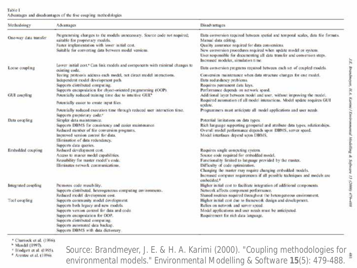#### Table 1 Advantages and disadvantages of the five coupling methodologies.

| Methodology                        | Advantages                                                                                                                                                                                                                                                                                                                                                                                                                                                                                          | <b>Disadvartages</b>                                                                                                                                                                                                                                                                                                                                                                                                                                                                                                                                                                                                       |
|------------------------------------|-----------------------------------------------------------------------------------------------------------------------------------------------------------------------------------------------------------------------------------------------------------------------------------------------------------------------------------------------------------------------------------------------------------------------------------------------------------------------------------------------------|----------------------------------------------------------------------------------------------------------------------------------------------------------------------------------------------------------------------------------------------------------------------------------------------------------------------------------------------------------------------------------------------------------------------------------------------------------------------------------------------------------------------------------------------------------------------------------------------------------------------------|
| One-way data transfer              | Programming changes to the models unnecessary. Source code not required;<br>suitable for proprietary models.<br>Faster implementation with lower initial cost.<br>Suitable for converting data between model versions.                                                                                                                                                                                                                                                                              | Data conversion required between spatial and temporal scales, data file formats.<br>Manual data editing.<br>Quality assurance required for data conversions.<br>New conversion procedures required when update model or system.<br>User responsible for documenting all data transfer and conversion steps.<br>Increased modeler, simulation time.                                                                                                                                                                                                                                                                         |
| Loose coupling                     | Lower initial cost. <sup>4</sup> Can link models and components with minimal changes to<br>existing code.                                                                                                                                                                                                                                                                                                                                                                                           | Data conversion programs required between each set of coupled models.                                                                                                                                                                                                                                                                                                                                                                                                                                                                                                                                                      |
| GUI coupling                       | Testing protocols address each model, not direct model interactions.<br>Independent model development path.<br>Supports distributed computing,<br>Supports encapsulation for object-oriented programming (OOP).<br>Potentially reduced training time due to intuitive GUL*                                                                                                                                                                                                                          | Conversion maintenance when data structure changes for one model.<br>Data redundancy problems.<br>Requires permanent data keys.<br>Performance depends on network speed.<br>Additional layer between model and user, without improving the model,                                                                                                                                                                                                                                                                                                                                                                          |
|                                    | Potentially easier to create input files.                                                                                                                                                                                                                                                                                                                                                                                                                                                           | Required automation of all model interactions. Model update requires GUI<br>ucdate.                                                                                                                                                                                                                                                                                                                                                                                                                                                                                                                                        |
| Data coupling<br>Embedded coupling | Potentially reduced execution time through reduced user interaction time.<br>Supports proprietary code."<br>Simpler data maintenance.<br>Supports DBMS for consistency and easier maintenance.<br>Reduced number of file conversion programs,<br>Improved version control for data.<br>Elimination of data redundancy.<br>Supports data queries.<br>Reduced development cost.<br>Access to master model capabilities.<br>Reasability for master model's code.<br>Eliminates network communications. | Programmers must anticipate all model applications and user needs.<br>Potential limitations on data types.<br>Rich language supporting geospatial and attribute data types, relationships.<br>Overall model performance depends upon DBMS, server speed.<br>Model interfaces depend upon DBMS.<br>Requires single computing system.<br>Source code required for embedded model.<br>Functionality limited to language provided by the master.<br>Difficulty of code optimization.<br>Changing the master may require changing embodded models.<br>Increased computer requirements if all possible techniques and models are |
| Integrated coupling                | Promotes code reusability.<br>Supports distributed, heterogeneous computing environments.                                                                                                                                                                                                                                                                                                                                                                                                           | embedded. <sup>8</sup><br>Higher initial cost to facilitate integration of additional components.<br>Network affects component performance.                                                                                                                                                                                                                                                                                                                                                                                                                                                                                |
| Tool coupling                      | Reduced model development cost.<br>Supports community model development.<br>Supports both legacy and new models.<br>Supports version control for data and code.<br>Supports encapsulation for OOP.<br>Supports distributed computing.<br>Supports automated data backap,<br>Supports DBMS with data dictionary.                                                                                                                                                                                     | Shared routines required throughout the heterogeneous environment.<br>Higher initial cost due to framework design and development.<br>Relies on network and server speed.<br>Model applications and user needs must be anticipated.<br>Requirement for rich data language.                                                                                                                                                                                                                                                                                                                                                 |

\* Charnock et al. (1996).

<sup>\*</sup> Mandel (1997).

<sup>e</sup> Blodgett et al. (1995).

<sup>8</sup> Arentze et al. (1996).

*Source: Brandmeyer, J. E. & H. A. Karimi (2000). "Coupling methodologies for environmental models." Environmental Modelling & Software 15(5): 479-488.*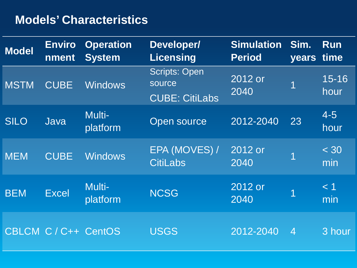## **Models' Characteristics**

| Model       | <b>Enviro</b><br>nment | <b>Operation</b><br><b>System</b> | <b>Developer/</b><br><b>Licensing</b>                   | <b>Simulation</b><br><b>Period</b> | Sim.<br>years time | Run               |
|-------------|------------------------|-----------------------------------|---------------------------------------------------------|------------------------------------|--------------------|-------------------|
| <b>MSTM</b> | <b>CUBE</b>            | <b>Windows</b>                    | <b>Scripts: Open</b><br>source<br><b>CUBE: CitiLabs</b> | 2012 or<br>2040                    | 1                  | $15 - 16$<br>hour |
| <b>SILO</b> | Java                   | Multi-<br>platform                | <b>Open source</b>                                      | 2012-2040                          | 23                 | $4 - 5$<br>hour   |
| <b>MEM</b>  | <b>CUBE</b>            | <b>Windows</b>                    | EPA (MOVES) /<br><b>CitiLabs</b>                        | 2012 or<br>2040                    | 1                  | $<$ 30<br>min     |
| <b>BEM</b>  | <b>Excel</b>           | Multi-<br>platform                | <b>NCSG</b>                                             | 2012 or<br>2040                    |                    | < 1<br>min        |
|             | CBLCM C / C++ CentOS   |                                   | <b>USGS</b>                                             | 2012-2040                          | $\overline{4}$     | 3 hour            |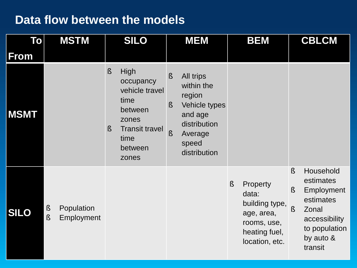#### **Data flow between the models**

| To          | <b>MSTM</b>                        | <b>SILO</b>                                                                                                                                       | <b>MEM</b>                                                                                                                                 | <b>BEM</b>                                                                                                           | <b>CBLCM</b>                                                                                                                                           |
|-------------|------------------------------------|---------------------------------------------------------------------------------------------------------------------------------------------------|--------------------------------------------------------------------------------------------------------------------------------------------|----------------------------------------------------------------------------------------------------------------------|--------------------------------------------------------------------------------------------------------------------------------------------------------|
| From        |                                    |                                                                                                                                                   |                                                                                                                                            |                                                                                                                      |                                                                                                                                                        |
| <b>MSMT</b> |                                    | $\boldsymbol{\S}$<br>High<br>occupancy<br>vehicle travel<br>time<br>between<br>zones<br><b>Transit travel</b><br>$\S$<br>time<br>between<br>zones | All trips<br><b>S</b><br>within the<br>region<br>Vehicle types<br>Ŝ<br>and age<br>distribution<br>$\S$<br>Average<br>speed<br>distribution |                                                                                                                      |                                                                                                                                                        |
| <b>SILO</b> | Population<br>s<br>S<br>Employment |                                                                                                                                                   |                                                                                                                                            | $\mathbf{\S}$<br>Property<br>data:<br>building type,<br>age, area,<br>rooms, use,<br>heating fuel,<br>location, etc. | Household<br>$\boldsymbol{\S}$<br>estimates<br>$\S$<br>Employment<br>estimates<br>Ş<br>Zonal<br>accessibility<br>to population<br>by auto &<br>transit |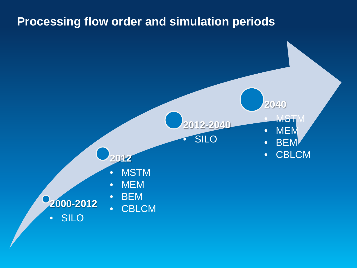#### **Processing flow order and simulation periods**

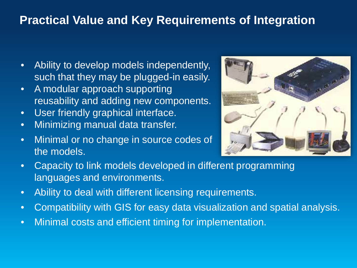## **Practical Value and Key Requirements of Integration**

- Ability to develop models independently, such that they may be plugged-in easily.
- A modular approach supporting reusability and adding new components.
- User friendly graphical interface.
- Minimizing manual data transfer.
- Minimal or no change in source codes of the models.



- Capacity to link models developed in different programming languages and environments.
- Ability to deal with different licensing requirements.
- Compatibility with GIS for easy data visualization and spatial analysis.
- Minimal costs and efficient timing for implementation.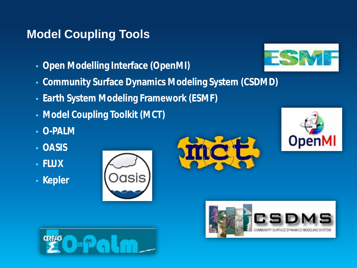## **Model Coupling Tools**

- **Open Modelling Interface (OpenMI)**
- **Community Surface Dynamics Modeling System (CSDMD)**
- **Earth System Modeling Framework (ESMF)**
- **Model Coupling Toolkit (MCT)**
- **O-PALM**
- **OASIS**
- **FLUX**
- **Kepler**











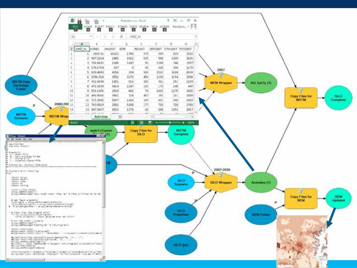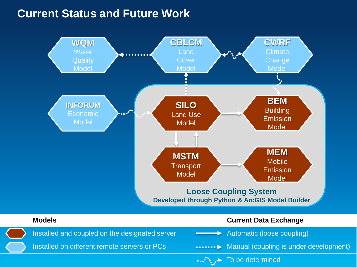#### **Current Status and Future Work**



Installed on different remote servers or PCs **Manual** (coupling is under development)

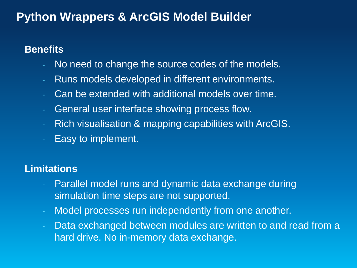## **Python Wrappers & ArcGIS Model Builder**

#### **Benefits**

- No need to change the source codes of the models.
- Runs models developed in different environments.
- Can be extended with additional models over time.
- General user interface showing process flow.
- Rich visualisation & mapping capabilities with ArcGIS.
- Easy to implement.

#### **Limitations**

- Parallel model runs and dynamic data exchange during simulation time steps are not supported.
- Model processes run independently from one another.
- Data exchanged between modules are written to and read from a hard drive. No in-memory data exchange.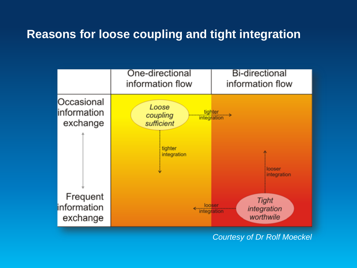#### **Reasons for loose coupling and tight integration**



*Courtesy of Dr Rolf Moeckel*